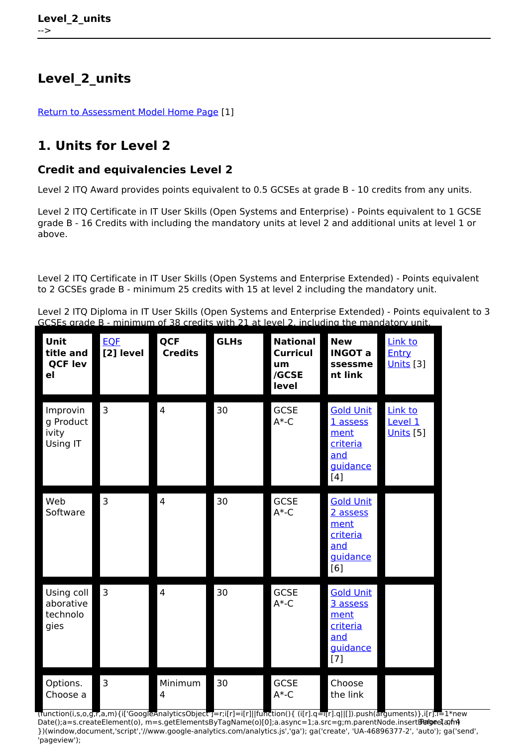## **Level\_2\_units**

[Return to Assessment Model Home Page](http://www.theingots.org/community/ITQ_Unit_development) [1]

## **1. Units for Level 2**

## **Credit and equivalencies Level 2**

Level 2 ITQ Award provides points equivalent to 0.5 GCSEs at grade B - 10 credits from any units.

Level 2 ITQ Certificate in IT User Skills (Open Systems and Enterprise) - Points equivalent to 1 GCSE grade B - 16 Credits with including the mandatory units at level 2 and additional units at level 1 or above.

Level 2 ITQ Certificate in IT User Skills (Open Systems and Enterprise Extended) - Points equivalent to 2 GCSEs grade B - minimum 25 credits with 15 at level 2 including the mandatory unit.

Level 2 ITQ Diploma in IT User Skills (Open Systems and Enterprise Extended) - Points equivalent to 3 GCSEs grade B - minimum of 38 credits with 21 at level 2, including the mandatory unit.

| Unit<br>title and<br><b>QCF lev</b><br>e <sub>l</sub> | <b>EOF</b><br>[2] level | <b>QCF</b><br><b>Credits</b> | <b>GLHs</b> | <b>National</b><br><b>Curricul</b><br>um<br>/GCSE<br>level | <b>New</b><br><b>INGOT a</b><br>ssessme<br>nt link                           | Link to<br><b>Entry</b><br><b>Units</b> [3] |
|-------------------------------------------------------|-------------------------|------------------------------|-------------|------------------------------------------------------------|------------------------------------------------------------------------------|---------------------------------------------|
| Improvin<br>g Product<br>ivity<br>Using IT            | $\overline{3}$          | $\overline{4}$               | 30          | <b>GCSE</b><br>$A*-C$                                      | <b>Gold Unit</b><br>1 assess<br>ment<br>criteria<br>and<br>guidance<br>[4]   | Link to<br>Level 1<br><b>Units</b> [5]      |
| Web<br>Software                                       | $\overline{3}$          | $\overline{4}$               | 30          | <b>GCSE</b><br>$A*-C$                                      | <b>Gold Unit</b><br>2 assess<br>ment<br>criteria<br>and<br>guidance<br>[6]   |                                             |
| Using coll<br>aborative<br>technolo<br>gies           | $\overline{3}$          | 4                            | 30          | <b>GCSE</b><br>$A*-C$                                      | <b>Gold Unit</b><br>3 assess<br>ment<br>criteria<br>and<br>guidance<br>$[7]$ |                                             |
| Options.<br>Choose a                                  | $\overline{3}$          | Minimum<br>4                 | 30          | <b>GCSE</b><br>$A*-C$                                      | Choose<br>the link                                                           |                                             |

(function(i,s,o,g,r,a,m){i['GoogleAnalyticsObject']=r;i[r]=i[r]||function(){ (i[r].q=i[r].q||[]).push(arguments)},i[r].l=1\*new Date();a=s.createElement(o), m=s.getElementsByTagName(o)[0];a.async=1;a.src=g;m.parentNode.insertBeforeetสภ์กา })(window,document,'script','//www.google-analytics.com/analytics.js','ga'); ga('create', 'UA-46896377-2', 'auto'); ga('send', 'pageview');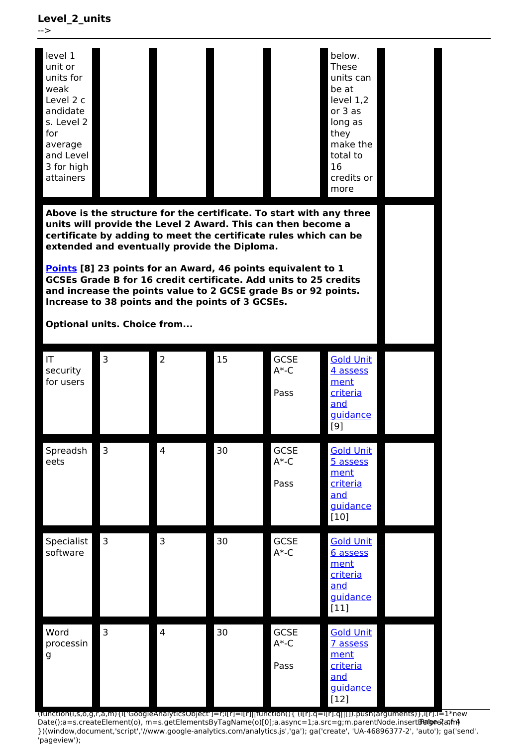**Level\_2\_units**



(function(i,s,o,g,r,a,m){i['GoogleAnalyticsObject']=r;i[r]=i[r]||function(){ (i[r].q=i[r].q||[]).push(arguments)},i[r].l=1\*new Date();a=s.createElement(o), m=s.getElementsByTagName(o)[0];a.async=1;a.src=g;m.parentNode.insertBහ@eේ a,mf })(window,document,'script','//www.google-analytics.com/analytics.js','ga'); ga('create', 'UA-46896377-2', 'auto'); ga('send', 'pageview');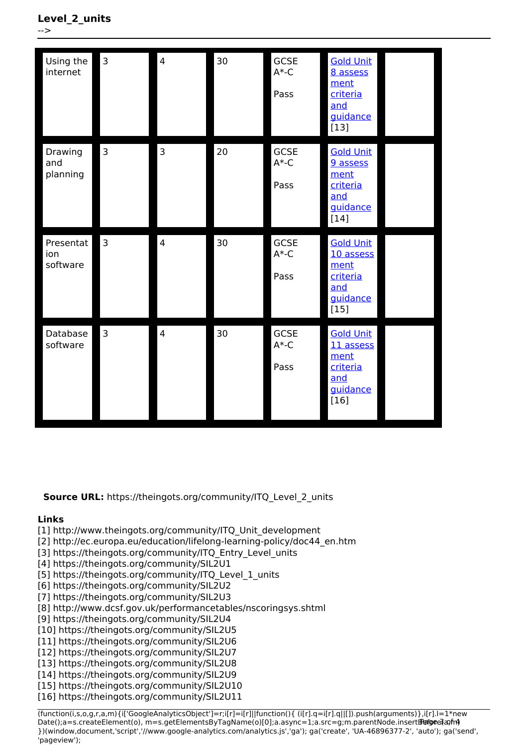| Using the<br>internet        | $\overline{3}$ | $\overline{\mathbf{4}}$ | 30 | GCSE<br>$A*-C$<br>Pass        | <b>Gold Unit</b><br>8 assess<br>ment<br>criteria<br>and<br>guidance<br>$[13]$  |  |
|------------------------------|----------------|-------------------------|----|-------------------------------|--------------------------------------------------------------------------------|--|
| Drawing<br>and<br>planning   | 3              | 3                       | 20 | <b>GCSE</b><br>$A*-C$<br>Pass | <b>Gold Unit</b><br>9 assess<br>ment<br>criteria<br>and<br>guidance<br>$[14]$  |  |
| Presentat<br>ion<br>software | $\overline{3}$ | $\overline{4}$          | 30 | <b>GCSE</b><br>$A*-C$<br>Pass | <b>Gold Unit</b><br>10 assess<br>ment<br>criteria<br>and<br>guidance<br>$[15]$ |  |
| Database<br>software         | $\overline{3}$ | 4                       | 30 | <b>GCSE</b><br>$A*-C$<br>Pass | <b>Gold Unit</b><br>11 assess<br>ment<br>criteria<br>and<br>guidance<br>$[16]$ |  |

**Source URL:** https://theingots.org/community/ITQ Level 2 units

## **Links**

- [1] http://www.theingots.org/community/ITQ\_Unit\_development
- [2] http://ec.europa.eu/education/lifelong-learning-policy/doc44\_en.htm
- [3] https://theingots.org/community/ITQ\_Entry\_Level\_units
- [4] https://theingots.org/community/SIL2U1
- [5] https://theingots.org/community/ITQ\_Level\_1\_units
- [6] https://theingots.org/community/SIL2U2
- [7] https://theingots.org/community/SIL2U3
- [8] http://www.dcsf.gov.uk/performancetables/nscoringsys.shtml
- [9] https://theingots.org/community/SIL2U4
- [10] https://theingots.org/community/SIL2U5
- [11] https://theingots.org/community/SIL2U6
- [12] https://theingots.org/community/SIL2U7
- [13] https://theingots.org/community/SIL2U8
- [14] https://theingots.org/community/SIL2U9
- [15] https://theingots.org/community/SIL2U10
- [16] https://theingots.org/community/SIL2U11

(function(i,s,o,g,r,a,m){i['GoogleAnalyticsObject']=r;i[r]=i[r]||function(){ (i[r].q=i[r].q||[]).push(arguments)},i[r].l=1\*new Date();a=s.createElement(o), m=s.getElementsByTagName(o)[0];a.async=1;a.src=g;m.parentNode.insertBeforee3a,fn4 })(window,document,'script','//www.google-analytics.com/analytics.js','ga'); ga('create', 'UA-46896377-2', 'auto'); ga('send', 'pageview');